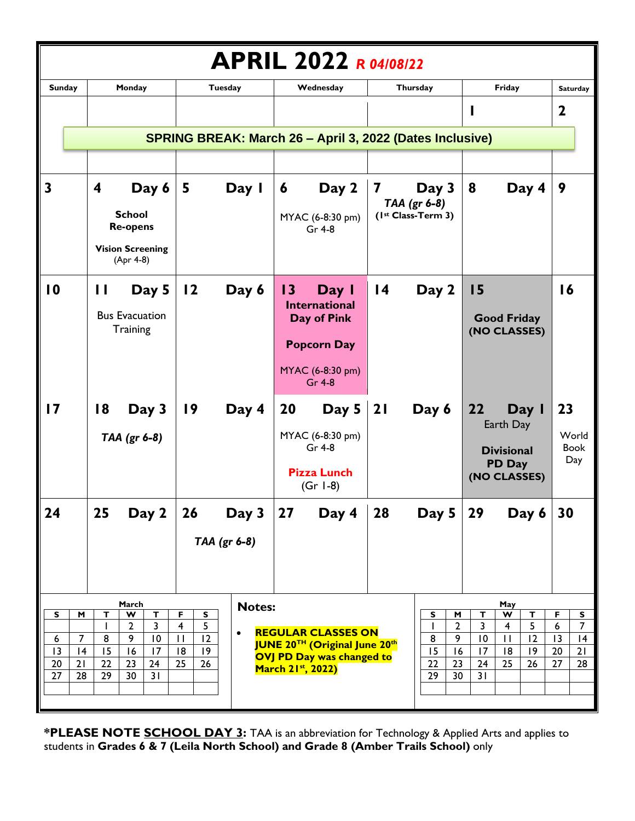| <b>APRIL 2022 R04/08/22</b>                          |                                                                                                                                       |                                                                                                                        |                                                                                                                                  |                                                                                     |                                                                                                                       |                                                                                |  |
|------------------------------------------------------|---------------------------------------------------------------------------------------------------------------------------------------|------------------------------------------------------------------------------------------------------------------------|----------------------------------------------------------------------------------------------------------------------------------|-------------------------------------------------------------------------------------|-----------------------------------------------------------------------------------------------------------------------|--------------------------------------------------------------------------------|--|
| <b>Sunday</b>                                        | Monday                                                                                                                                | Tuesday                                                                                                                | Wednesday                                                                                                                        | Thursday                                                                            | Friday                                                                                                                | <b>Saturday</b>                                                                |  |
|                                                      |                                                                                                                                       |                                                                                                                        |                                                                                                                                  |                                                                                     | ı                                                                                                                     | $\mathbf 2$                                                                    |  |
|                                                      | SPRING BREAK: March 26 - April 3, 2022 (Dates Inclusive)                                                                              |                                                                                                                        |                                                                                                                                  |                                                                                     |                                                                                                                       |                                                                                |  |
|                                                      |                                                                                                                                       |                                                                                                                        |                                                                                                                                  |                                                                                     |                                                                                                                       |                                                                                |  |
| $\overline{\mathbf{3}}$                              | Day 6<br>4<br><b>School</b><br><b>Re-opens</b><br><b>Vision Screening</b><br>(Apr 4-8)                                                | 5<br>Day I                                                                                                             | Day 2<br>6<br>MYAC (6-8:30 pm)<br>Gr 4-8                                                                                         | Day 3<br>7<br>TAA (gr 6-8)<br>(Ist Class-Term 3)                                    | Day 4<br>8                                                                                                            | 9                                                                              |  |
| $\overline{10}$                                      | Day 5<br>$\mathbf{I}$<br><b>Bus Evacuation</b><br>Training                                                                            | 12<br>Day 6                                                                                                            | $\overline{13}$<br>Day I<br><b>International</b><br>Day of Pink<br><b>Popcorn Day</b><br>MYAC (6-8:30 pm)<br>Gr 4-8              | $\overline{14}$<br>Day 2                                                            | 15<br><b>Good Friday</b><br>(NO CLASSES)                                                                              | 16                                                                             |  |
| 17                                                   | 18<br>Day 3<br>TAA (gr 6-8)                                                                                                           | Day 4<br>$\overline{19}$                                                                                               | 20<br>Day 5<br>MYAC (6-8:30 pm)<br>Gr 4-8<br><b>Pizza Lunch</b><br>$(Gr I-8)$                                                    | 21<br>Day 6                                                                         | 22<br>Day I<br>Earth Day<br><b>Divisional</b><br>PD Day<br>(NO CLASSES)                                               | 23<br>World<br><b>Book</b><br>Day                                              |  |
| 24                                                   | 25<br>Day 2                                                                                                                           | Day 3<br>26<br>TAA (gr 6-8)                                                                                            | 27 <br>Day 4                                                                                                                     | 28<br>Day 5 $ $                                                                     | 29<br>Day 6                                                                                                           | 30                                                                             |  |
| S<br>M<br>7<br>6<br> 3<br> 4<br>20<br>21<br>27<br>28 | March<br>$\overline{\mathbf{v}}$<br>т<br>Т<br>$\mathbf{2}$<br>3<br>9<br>10<br>8<br>15<br>16<br>17<br>22<br>23<br>24<br>30<br>31<br>29 | <b>Notes:</b><br>F<br>S<br>$\overline{5}$<br>$\overline{4}$<br>$\bullet$<br>12<br>$\mathbf{H}$<br> 8<br>19<br>25<br>26 | <b>REGULAR CLASSES ON</b><br><b>JUNE 20TH (Original June 20th</b><br>OVJ PD Day was changed to<br>March 21 <sup>st</sup> , 2022) | s<br>M<br>$\overline{2}$<br>9<br>8<br>15<br>16<br>22<br>23<br>$\overline{29}$<br>30 | May<br>W<br>т<br>т<br>5<br>3<br>4<br>12<br>10<br>$\mathbf{H}$<br> 8 <br> 9<br>17<br>$\overline{25}$<br>26<br>24<br>31 | F<br>S<br>$\overline{7}$<br>6<br>$\overline{13}$<br> 4<br>20<br>21<br>28<br>27 |  |

**\*PLEASE NOTE SCHOOL DAY 3:** TAA is an abbreviation for Technology & Applied Arts and applies to students in **Grades 6 & 7 (Leila North School) and Grade 8 (Amber Trails School)** only